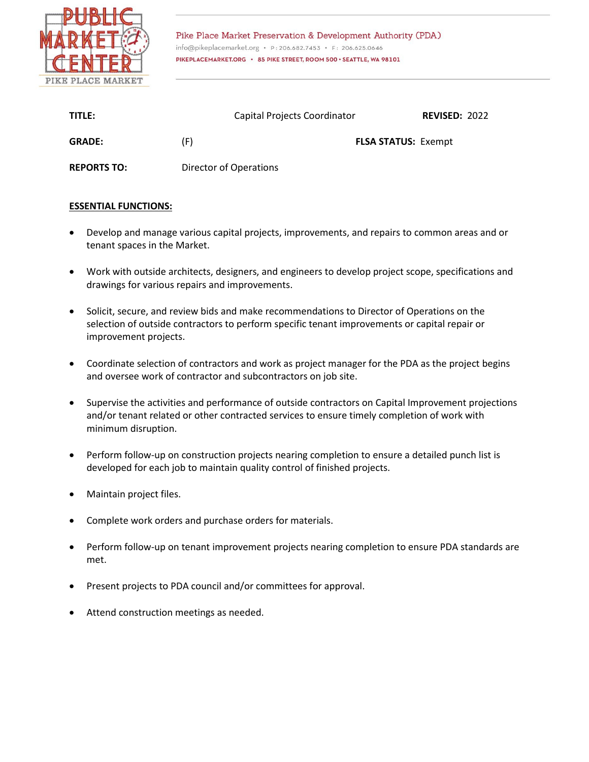

Pike Place Market Preservation & Development Authority (PDA) info@pikeplacemarket.org · P: 206.682.7453 · F: 206.625.0646 PIKEPLACEMARKET.ORG · 85 PIKE STREET, ROOM 500 · SEATTLE, WA 98101

| TITLE:             | Capital Projects Coordinator | <b>REVISED: 2022</b>       |
|--------------------|------------------------------|----------------------------|
| <b>GRADE:</b>      | (F)                          | <b>FLSA STATUS: Exempt</b> |
| <b>REPORTS TO:</b> | Director of Operations       |                            |

## **ESSENTIAL FUNCTIONS:**

- Develop and manage various capital projects, improvements, and repairs to common areas and or tenant spaces in the Market.
- Work with outside architects, designers, and engineers to develop project scope, specifications and drawings for various repairs and improvements.
- Solicit, secure, and review bids and make recommendations to Director of Operations on the selection of outside contractors to perform specific tenant improvements or capital repair or improvement projects.
- Coordinate selection of contractors and work as project manager for the PDA as the project begins and oversee work of contractor and subcontractors on job site.
- Supervise the activities and performance of outside contractors on Capital Improvement projections and/or tenant related or other contracted services to ensure timely completion of work with minimum disruption.
- Perform follow-up on construction projects nearing completion to ensure a detailed punch list is developed for each job to maintain quality control of finished projects.
- Maintain project files.
- Complete work orders and purchase orders for materials.
- Perform follow-up on tenant improvement projects nearing completion to ensure PDA standards are met.
- Present projects to PDA council and/or committees for approval.
- Attend construction meetings as needed.